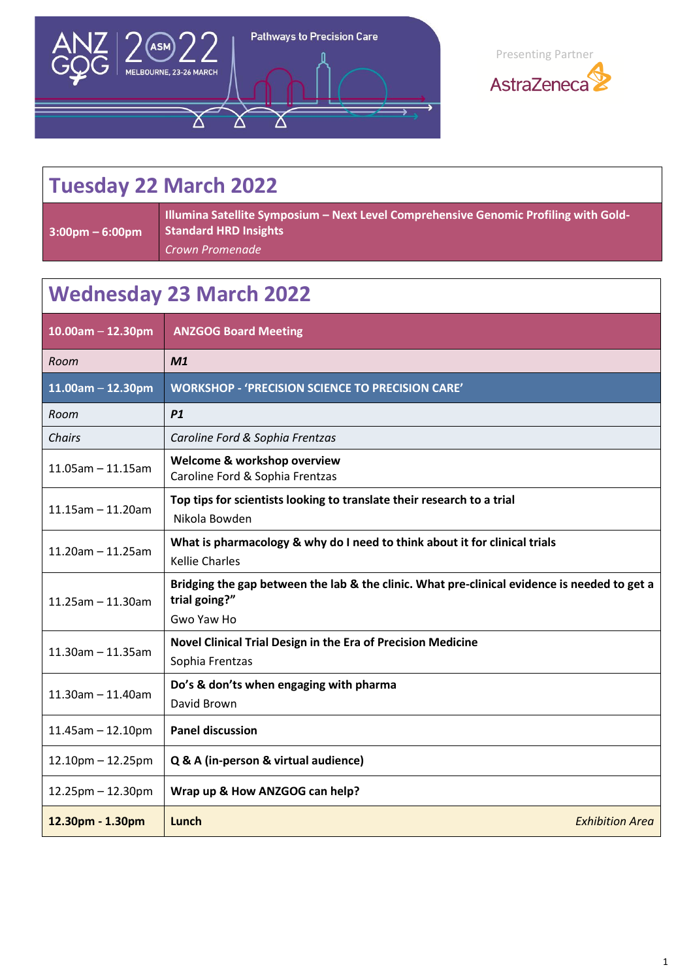



## **Tuesday 22 March 2022**

**3:00pm – 6:00pm**

**Illumina Satellite Symposium – Next Level Comprehensive Genomic Profiling with Gold-Standard HRD Insights** *Crown Promenade*

## **Wednesday 23 March 2022**

| $10.00am - 12.30pm$     | <b>ANZGOG Board Meeting</b>                                                                                                 |
|-------------------------|-----------------------------------------------------------------------------------------------------------------------------|
| Room                    | M1                                                                                                                          |
| $11.00$ am - 12.30pm    | <b>WORKSHOP - 'PRECISION SCIENCE TO PRECISION CARE'</b>                                                                     |
| Room                    | P1                                                                                                                          |
| Chairs                  | Caroline Ford & Sophia Frentzas                                                                                             |
| $11.05$ am - 11.15am    | Welcome & workshop overview<br>Caroline Ford & Sophia Frentzas                                                              |
| $11.15$ am $-11.20$ am  | Top tips for scientists looking to translate their research to a trial<br>Nikola Bowden                                     |
| $11.20$ am - 11.25am    | What is pharmacology & why do I need to think about it for clinical trials<br><b>Kellie Charles</b>                         |
| $11.25$ am $-11.30$ am  | Bridging the gap between the lab & the clinic. What pre-clinical evidence is needed to get a<br>trial going?"<br>Gwo Yaw Ho |
| $11.30$ am - 11.35am    | Novel Clinical Trial Design in the Era of Precision Medicine<br>Sophia Frentzas                                             |
| $11.30$ am - 11.40am    | Do's & don'ts when engaging with pharma<br>David Brown                                                                      |
| $11.45$ am $- 12.10$ pm | <b>Panel discussion</b>                                                                                                     |
| $12.10$ pm $- 12.25$ pm | Q & A (in-person & virtual audience)                                                                                        |
| $12.25$ pm $- 12.30$ pm | Wrap up & How ANZGOG can help?                                                                                              |
| 12.30pm - 1.30pm        | <b>Exhibition Area</b><br>Lunch                                                                                             |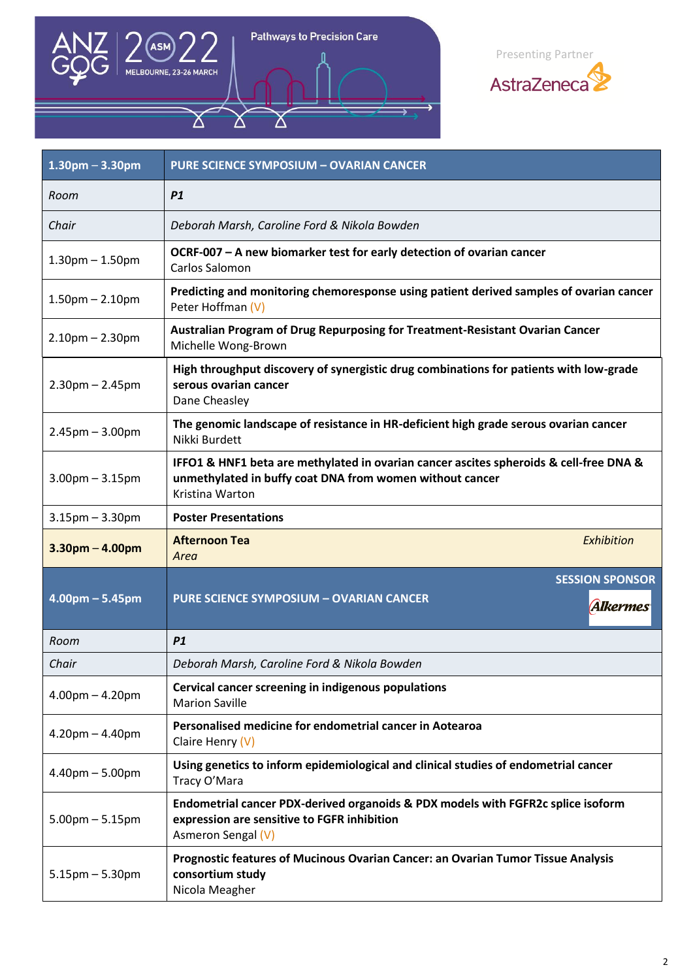

 $\Delta$ 

Pathways to Precision Care



| $1.30$ pm $- 3.30$ pm | <b>PURE SCIENCE SYMPOSIUM - OVARIAN CANCER</b>                                                                                                                        |
|-----------------------|-----------------------------------------------------------------------------------------------------------------------------------------------------------------------|
| Room                  | P1                                                                                                                                                                    |
| Chair                 | Deborah Marsh, Caroline Ford & Nikola Bowden                                                                                                                          |
| $1.30$ pm $- 1.50$ pm | OCRF-007 - A new biomarker test for early detection of ovarian cancer<br><b>Carlos Salomon</b>                                                                        |
| $1.50$ pm $- 2.10$ pm | Predicting and monitoring chemoresponse using patient derived samples of ovarian cancer<br>Peter Hoffman (V)                                                          |
| $2.10$ pm $- 2.30$ pm | Australian Program of Drug Repurposing for Treatment-Resistant Ovarian Cancer<br>Michelle Wong-Brown                                                                  |
| $2.30pm - 2.45pm$     | High throughput discovery of synergistic drug combinations for patients with low-grade<br>serous ovarian cancer<br>Dane Cheasley                                      |
| $2.45$ pm $- 3.00$ pm | The genomic landscape of resistance in HR-deficient high grade serous ovarian cancer<br>Nikki Burdett                                                                 |
| $3.00$ pm $- 3.15$ pm | IFFO1 & HNF1 beta are methylated in ovarian cancer ascites spheroids & cell-free DNA &<br>unmethylated in buffy coat DNA from women without cancer<br>Kristina Warton |
| $3.15$ pm $- 3.30$ pm | <b>Poster Presentations</b>                                                                                                                                           |
| $3.30$ pm $- 4.00$ pm | <b>Afternoon Tea</b><br>Exhibition<br>Area                                                                                                                            |
| $4.00$ pm – 5.45pm    | <b>SESSION SPONSOR</b><br><b>PURE SCIENCE SYMPOSIUM - OVARIAN CANCER</b><br><b>Alkermes</b>                                                                           |
| Room                  | P1                                                                                                                                                                    |
| Chair                 | Deborah Marsh, Caroline Ford & Nikola Bowden                                                                                                                          |
| $4.00pm - 4.20pm$     | Cervical cancer screening in indigenous populations<br><b>Marion Saville</b>                                                                                          |
| $4.20$ pm $- 4.40$ pm | Personalised medicine for endometrial cancer in Aotearoa<br>Claire Henry $(V)$                                                                                        |
| $4.40$ pm $- 5.00$ pm | Using genetics to inform epidemiological and clinical studies of endometrial cancer<br>Tracy O'Mara                                                                   |
| $5.00$ pm $- 5.15$ pm | Endometrial cancer PDX-derived organoids & PDX models with FGFR2c splice isoform<br>expression are sensitive to FGFR inhibition<br>Asmeron Sengal (V)                 |
| $5.15$ pm $- 5.30$ pm | Prognostic features of Mucinous Ovarian Cancer: an Ovarian Tumor Tissue Analysis<br>consortium study<br>Nicola Meagher                                                |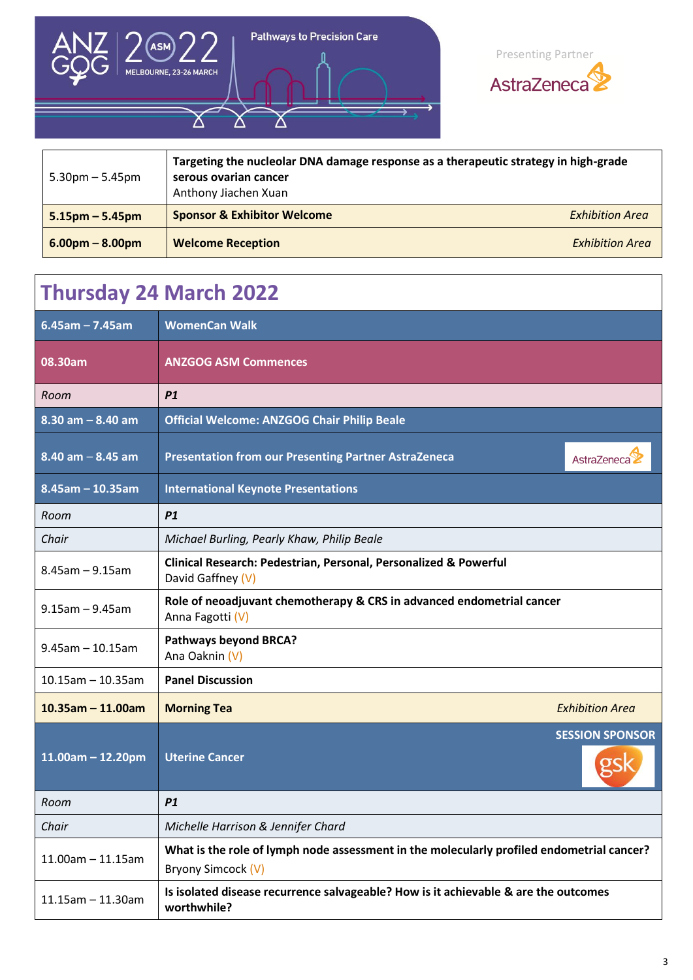



| $5.30$ pm $-5.45$ pm | Targeting the nucleolar DNA damage response as a therapeutic strategy in high-grade<br>serous ovarian cancer<br>Anthony Jiachen Xuan |                        |
|----------------------|--------------------------------------------------------------------------------------------------------------------------------------|------------------------|
| $5.15$ pm – 5.45pm   | <b>Sponsor &amp; Exhibitor Welcome</b>                                                                                               | <b>Exhibition Area</b> |
| $6.00pm - 8.00pm$    | <b>Welcome Reception</b>                                                                                                             | <b>Exhibition Area</b> |

## **Thursday 24 March 2022**

| $6.45$ am - 7.45am      | <b>WomenCan Walk</b>                                                                                            |  |
|-------------------------|-----------------------------------------------------------------------------------------------------------------|--|
| 08.30am                 | <b>ANZGOG ASM Commences</b>                                                                                     |  |
| Room                    | P1                                                                                                              |  |
| $8.30$ am $-8.40$ am    | <b>Official Welcome: ANZGOG Chair Philip Beale</b>                                                              |  |
| $8.40$ am $- 8.45$ am   | <b>Presentation from our Presenting Partner AstraZeneca</b><br>AstraZeneca                                      |  |
| $8.45$ am - 10.35am     | <b>International Keynote Presentations</b>                                                                      |  |
| Room                    | P1                                                                                                              |  |
| Chair                   | Michael Burling, Pearly Khaw, Philip Beale                                                                      |  |
| $8.45$ am $- 9.15$ am   | Clinical Research: Pedestrian, Personal, Personalized & Powerful<br>David Gaffney (V)                           |  |
| $9.15$ am - $9.45$ am   | Role of neoadjuvant chemotherapy & CRS in advanced endometrial cancer<br>Anna Fagotti (V)                       |  |
| $9.45$ am $-10.15$ am   | <b>Pathways beyond BRCA?</b><br>Ana Oaknin (V)                                                                  |  |
| $10.15$ am - 10.35am    | <b>Panel Discussion</b>                                                                                         |  |
| $10.35$ am - 11.00am    | <b>Exhibition Area</b><br><b>Morning Tea</b>                                                                    |  |
| $11.00$ am - 12.20pm    | <b>SESSION SPONSOR</b><br><b>Uterine Cancer</b>                                                                 |  |
| Room                    | P1                                                                                                              |  |
| Chair                   | Michelle Harrison & Jennifer Chard                                                                              |  |
| $11.00$ am $- 11.15$ am | What is the role of lymph node assessment in the molecularly profiled endometrial cancer?<br>Bryony Simcock (V) |  |
| $11.15$ am $-11.30$ am  | Is isolated disease recurrence salvageable? How is it achievable & are the outcomes<br>worthwhile?              |  |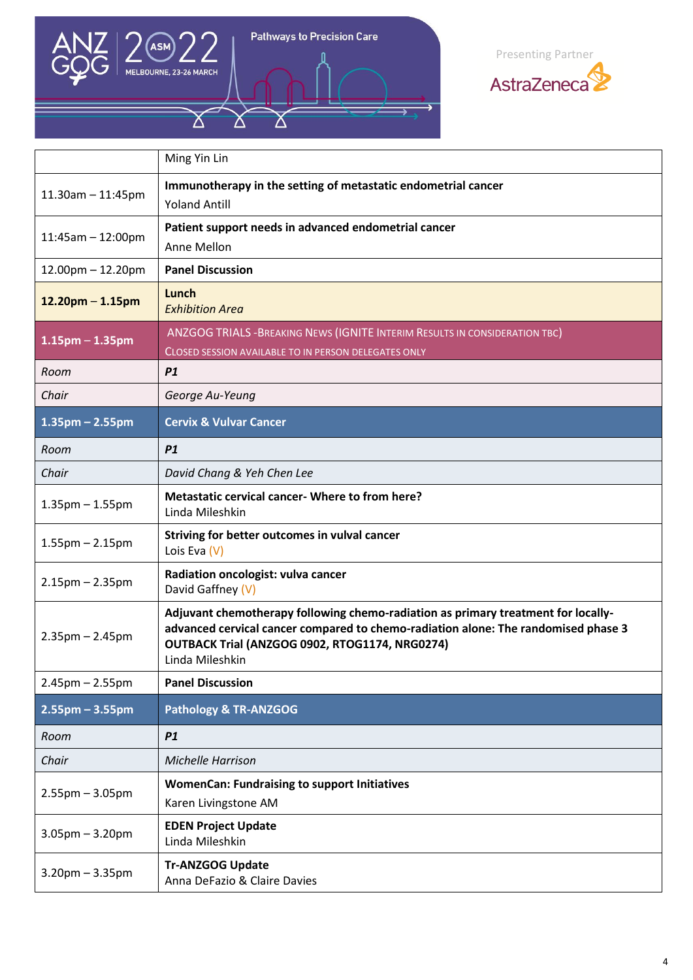

Δ

Pathways to Precision Care

Ϫ



|                         | Ming Yin Lin                                                                                                                                                                                                                                 |
|-------------------------|----------------------------------------------------------------------------------------------------------------------------------------------------------------------------------------------------------------------------------------------|
| $11.30$ am $- 11:45$ pm | Immunotherapy in the setting of metastatic endometrial cancer<br><b>Yoland Antill</b>                                                                                                                                                        |
| $11:45am - 12:00pm$     | Patient support needs in advanced endometrial cancer<br>Anne Mellon                                                                                                                                                                          |
| $12.00$ pm $- 12.20$ pm | <b>Panel Discussion</b>                                                                                                                                                                                                                      |
| $12.20$ pm – 1.15pm     | Lunch<br><b>Exhibition Area</b>                                                                                                                                                                                                              |
| $1.15$ pm $- 1.35$ pm   | ANZGOG TRIALS - BREAKING NEWS (IGNITE INTERIM RESULTS IN CONSIDERATION TBC)<br>CLOSED SESSION AVAILABLE TO IN PERSON DELEGATES ONLY                                                                                                          |
| Room                    | P1                                                                                                                                                                                                                                           |
| Chair                   | George Au-Yeung                                                                                                                                                                                                                              |
| $1.35$ pm – 2.55pm      | <b>Cervix &amp; Vulvar Cancer</b>                                                                                                                                                                                                            |
| Room                    | P1                                                                                                                                                                                                                                           |
| Chair                   | David Chang & Yeh Chen Lee                                                                                                                                                                                                                   |
| $1.35$ pm $- 1.55$ pm   | Metastatic cervical cancer- Where to from here?<br>Linda Mileshkin                                                                                                                                                                           |
| $1.55$ pm $- 2.15$ pm   | Striving for better outcomes in vulval cancer<br>Lois Eva $(V)$                                                                                                                                                                              |
| $2.15$ pm $- 2.35$ pm   | Radiation oncologist: vulva cancer<br>David Gaffney (V)                                                                                                                                                                                      |
| $2.35$ pm $- 2.45$ pm   | Adjuvant chemotherapy following chemo-radiation as primary treatment for locally-<br>advanced cervical cancer compared to chemo-radiation alone: The randomised phase 3<br>OUTBACK Trial (ANZGOG 0902, RTOG1174, NRG0274)<br>Linda Mileshkin |
| $2.45$ pm $- 2.55$ pm   | <b>Panel Discussion</b>                                                                                                                                                                                                                      |
| $2.55$ pm – 3.55pm      | <b>Pathology &amp; TR-ANZGOG</b>                                                                                                                                                                                                             |
| Room                    | P1                                                                                                                                                                                                                                           |
| Chair                   | Michelle Harrison                                                                                                                                                                                                                            |
| $2.55$ pm $-3.05$ pm    | <b>WomenCan: Fundraising to support Initiatives</b><br>Karen Livingstone AM                                                                                                                                                                  |
| $3.05$ pm $- 3.20$ pm   | <b>EDEN Project Update</b><br>Linda Mileshkin                                                                                                                                                                                                |
| $3.20$ pm $- 3.35$ pm   | <b>Tr-ANZGOG Update</b><br>Anna DeFazio & Claire Davies                                                                                                                                                                                      |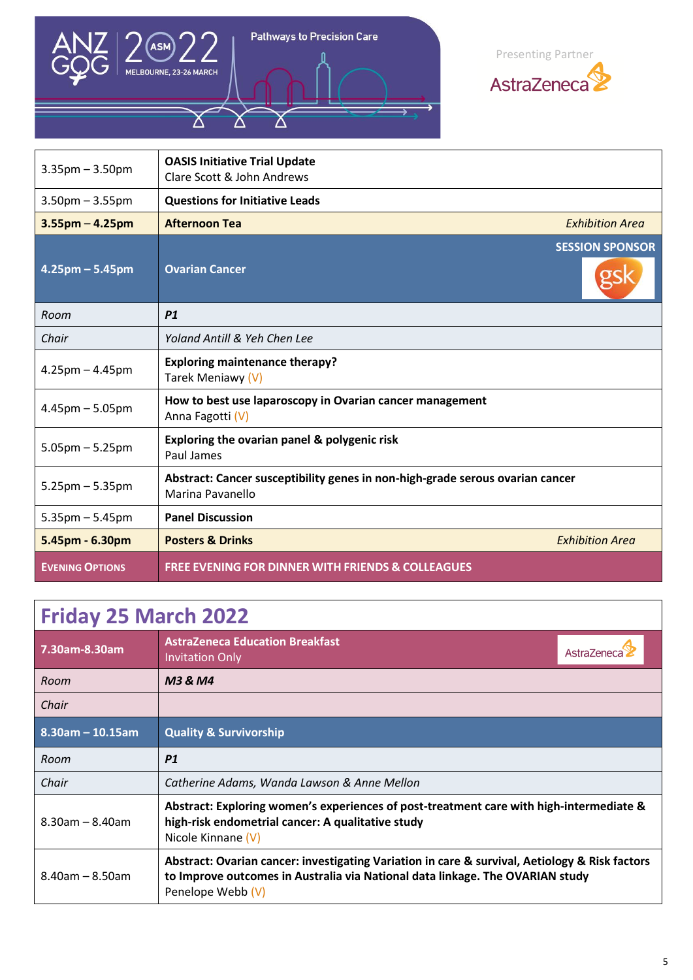

 $\Delta$ 

Pathways to Precision Care

Ϫ



| $3.35$ pm $- 3.50$ pm             | <b>OASIS Initiative Trial Update</b><br>Clare Scott & John Andrews                                |                        |
|-----------------------------------|---------------------------------------------------------------------------------------------------|------------------------|
| $3.50$ pm $- 3.55$ pm             | <b>Questions for Initiative Leads</b>                                                             |                        |
| $3.55$ pm $- 4.25$ pm             | <b>Afternoon Tea</b>                                                                              | <b>Exhibition Area</b> |
| $4.25 \text{pm} - 5.45 \text{pm}$ | <b>Ovarian Cancer</b>                                                                             | <b>SESSION SPONSOR</b> |
| Room                              | P1                                                                                                |                        |
| Chair                             | Yoland Antill & Yeh Chen Lee                                                                      |                        |
| $4.25$ pm $- 4.45$ pm             | <b>Exploring maintenance therapy?</b><br>Tarek Meniawy (V)                                        |                        |
| $4.45$ pm $-5.05$ pm              | How to best use laparoscopy in Ovarian cancer management<br>Anna Fagotti (V)                      |                        |
| $5.05$ pm $-5.25$ pm              | Exploring the ovarian panel & polygenic risk<br>Paul James                                        |                        |
| $5.25 \text{pm} - 5.35 \text{pm}$ | Abstract: Cancer susceptibility genes in non-high-grade serous ovarian cancer<br>Marina Pavanello |                        |
| $5.35$ pm $-5.45$ pm              | <b>Panel Discussion</b>                                                                           |                        |
| 5.45pm - 6.30pm                   | <b>Posters &amp; Drinks</b>                                                                       | <b>Exhibition Area</b> |
| <b>EVENING OPTIONS</b>            | <b>FREE EVENING FOR DINNER WITH FRIENDS &amp; COLLEAGUES</b>                                      |                        |

| <b>Friday 25 March 2022</b> |                                                                                                                                                                                                      |                   |
|-----------------------------|------------------------------------------------------------------------------------------------------------------------------------------------------------------------------------------------------|-------------------|
| 7.30am-8.30am               | <b>AstraZeneca Education Breakfast</b><br><b>Invitation Only</b>                                                                                                                                     | <b>AstraZenec</b> |
| Room                        | M3 & M4                                                                                                                                                                                              |                   |
| Chair                       |                                                                                                                                                                                                      |                   |
| $8.30$ am - 10.15am         | <b>Quality &amp; Survivorship</b>                                                                                                                                                                    |                   |
| Room                        | <b>P1</b>                                                                                                                                                                                            |                   |
| Chair                       | Catherine Adams, Wanda Lawson & Anne Mellon                                                                                                                                                          |                   |
| $8.30$ am – $8.40$ am       | Abstract: Exploring women's experiences of post-treatment care with high-intermediate &<br>high-risk endometrial cancer: A qualitative study<br>Nicole Kinnane (V)                                   |                   |
| $8.40$ am - $8.50$ am       | Abstract: Ovarian cancer: investigating Variation in care & survival, Aetiology & Risk factors<br>to Improve outcomes in Australia via National data linkage. The OVARIAN study<br>Penelope Webb (V) |                   |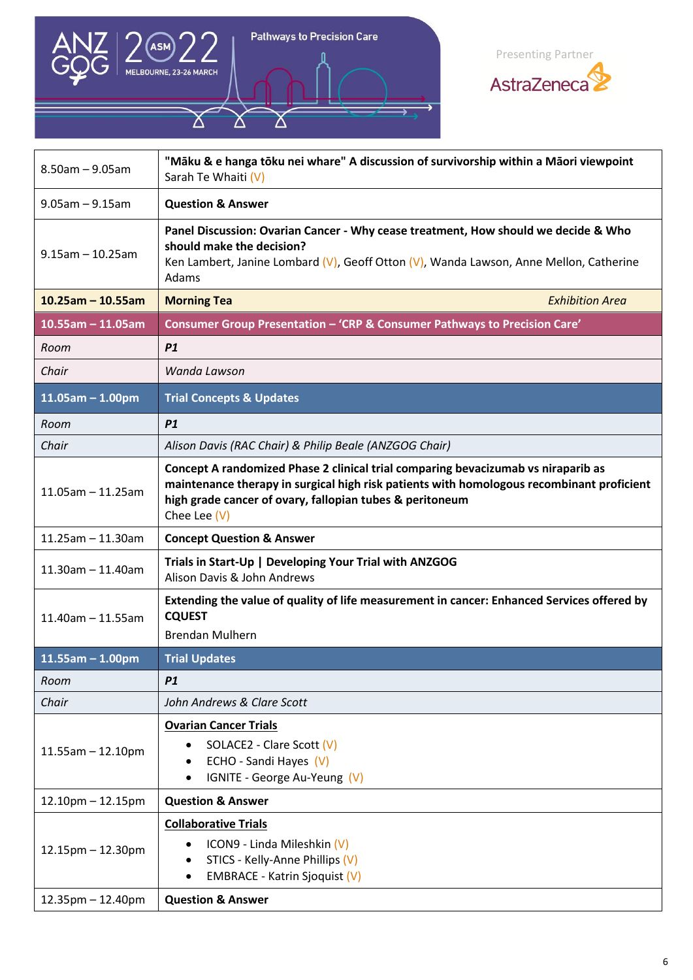

Δ

Pathways to Precision Care



| $8.50$ am $- 9.05$ am   | "Māku & e hanga tōku nei whare" A discussion of survivorship within a Māori viewpoint<br>Sarah Te Whaiti (V)                                                                                                                                               |
|-------------------------|------------------------------------------------------------------------------------------------------------------------------------------------------------------------------------------------------------------------------------------------------------|
| $9.05$ am $- 9.15$ am   | <b>Question &amp; Answer</b>                                                                                                                                                                                                                               |
| $9.15$ am $-10.25$ am   | Panel Discussion: Ovarian Cancer - Why cease treatment, How should we decide & Who<br>should make the decision?<br>Ken Lambert, Janine Lombard (V), Geoff Otton (V), Wanda Lawson, Anne Mellon, Catherine<br>Adams                                         |
| $10.25$ am - 10.55am    | <b>Morning Tea</b><br><b>Exhibition Area</b>                                                                                                                                                                                                               |
| $10.55$ am - 11.05am    | Consumer Group Presentation - 'CRP & Consumer Pathways to Precision Care'                                                                                                                                                                                  |
| Room                    | P1                                                                                                                                                                                                                                                         |
| Chair                   | Wanda Lawson                                                                                                                                                                                                                                               |
| $11.05$ am - 1.00pm     | <b>Trial Concepts &amp; Updates</b>                                                                                                                                                                                                                        |
| Room                    | P1                                                                                                                                                                                                                                                         |
| Chair                   | Alison Davis (RAC Chair) & Philip Beale (ANZGOG Chair)                                                                                                                                                                                                     |
| $11.05$ am - $11.25$ am | Concept A randomized Phase 2 clinical trial comparing bevacizumab vs niraparib as<br>maintenance therapy in surgical high risk patients with homologous recombinant proficient<br>high grade cancer of ovary, fallopian tubes & peritoneum<br>Chee Lee (V) |
| $11.25$ am - 11.30am    | <b>Concept Question &amp; Answer</b>                                                                                                                                                                                                                       |
| $11.30$ am $-11.40$ am  | Trials in Start-Up   Developing Your Trial with ANZGOG<br>Alison Davis & John Andrews                                                                                                                                                                      |
| $11.40$ am $- 11.55$ am | Extending the value of quality of life measurement in cancer: Enhanced Services offered by<br><b>CQUEST</b><br><b>Brendan Mulhern</b>                                                                                                                      |
| $11.55$ am - 1.00pm     | <b>Trial Updates</b>                                                                                                                                                                                                                                       |
| Room                    | P <sub>1</sub>                                                                                                                                                                                                                                             |
| Chair                   | John Andrews & Clare Scott                                                                                                                                                                                                                                 |
| $11.55$ am $- 12.10$ pm | <b>Ovarian Cancer Trials</b><br>SOLACE2 - Clare Scott (V)<br>ECHO - Sandi Hayes (V)<br>٠<br>IGNITE - George Au-Yeung (V)                                                                                                                                   |
| $12.10$ pm $- 12.15$ pm | <b>Question &amp; Answer</b>                                                                                                                                                                                                                               |
| $12.15$ pm $- 12.30$ pm | <b>Collaborative Trials</b><br>ICON9 - Linda Mileshkin (V)<br>$\bullet$<br>STICS - Kelly-Anne Phillips (V)<br>٠<br><b>EMBRACE - Katrin Sjoquist (V)</b>                                                                                                    |
| $12.35$ pm $- 12.40$ pm | <b>Question &amp; Answer</b>                                                                                                                                                                                                                               |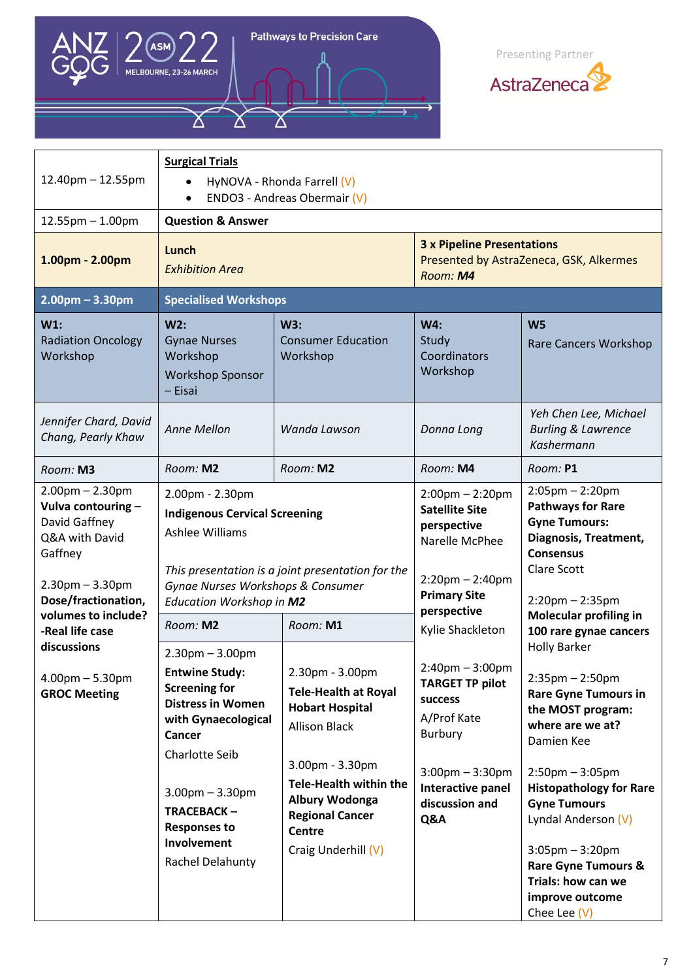

Δ

Pathways to Precision Care



| $12.40$ pm $- 12.55$ pm                                                                                                                                                             | <b>Surgical Trials</b><br>$\bullet$<br>$\bullet$                                                                                                  | HyNOVA - Rhonda Farrell (V)<br>ENDO3 - Andreas Obermair (V)                                                                                          |                                                                                                                                                                                                                                                                                                               |                                                                                                                                                                                                                       |
|-------------------------------------------------------------------------------------------------------------------------------------------------------------------------------------|---------------------------------------------------------------------------------------------------------------------------------------------------|------------------------------------------------------------------------------------------------------------------------------------------------------|---------------------------------------------------------------------------------------------------------------------------------------------------------------------------------------------------------------------------------------------------------------------------------------------------------------|-----------------------------------------------------------------------------------------------------------------------------------------------------------------------------------------------------------------------|
| $12.55$ pm $- 1.00$ pm                                                                                                                                                              | <b>Question &amp; Answer</b>                                                                                                                      |                                                                                                                                                      |                                                                                                                                                                                                                                                                                                               |                                                                                                                                                                                                                       |
| 1.00pm - 2.00pm                                                                                                                                                                     | Lunch<br><b>Exhibition Area</b>                                                                                                                   |                                                                                                                                                      | <b>3 x Pipeline Presentations</b><br>Presented by AstraZeneca, GSK, Alkermes<br>Room: M4                                                                                                                                                                                                                      |                                                                                                                                                                                                                       |
| $2.00pm - 3.30pm$                                                                                                                                                                   | <b>Specialised Workshops</b>                                                                                                                      |                                                                                                                                                      |                                                                                                                                                                                                                                                                                                               |                                                                                                                                                                                                                       |
| $W1$ :<br><b>Radiation Oncology</b><br>Workshop                                                                                                                                     | W2:<br><b>Gynae Nurses</b><br>Workshop<br><b>Workshop Sponsor</b><br>- Eisai                                                                      | W3:<br><b>Consumer Education</b><br>Workshop                                                                                                         | W4:<br>Study<br>Coordinators<br>Workshop                                                                                                                                                                                                                                                                      | W <sub>5</sub><br>Rare Cancers Workshop                                                                                                                                                                               |
| Jennifer Chard, David<br>Chang, Pearly Khaw                                                                                                                                         | <b>Anne Mellon</b>                                                                                                                                | Wanda Lawson                                                                                                                                         | Donna Long                                                                                                                                                                                                                                                                                                    | Yeh Chen Lee, Michael<br><b>Burling &amp; Lawrence</b><br>Kashermann                                                                                                                                                  |
| Room: M3                                                                                                                                                                            | Room: M2                                                                                                                                          | Room: M2                                                                                                                                             | Room: M4                                                                                                                                                                                                                                                                                                      | Room: P1                                                                                                                                                                                                              |
| $2.00$ pm $- 2.30$ pm<br>Vulva contouring -<br>David Gaffney<br>Q&A with David<br>Gaffney<br>$2.30$ pm $- 3.30$ pm<br>Dose/fractionation,<br>volumes to include?<br>-Real life case | 2.00pm - 2.30pm<br><b>Indigenous Cervical Screening</b><br>Ashlee Williams<br>Gynae Nurses Workshops & Consumer<br>Education Workshop in M2       | This presentation is a joint presentation for the                                                                                                    | $2:05 \text{pm} - 2:20 \text{pm}$<br>$2:00$ pm $- 2:20$ pm<br><b>Pathways for Rare</b><br><b>Satellite Site</b><br><b>Gyne Tumours:</b><br>perspective<br>Diagnosis, Treatment,<br>Narelle McPhee<br><b>Consensus</b><br>Clare Scott<br>$2:20$ pm $- 2:40$ pm<br><b>Primary Site</b><br>$2:20$ pm $- 2:35$ pm |                                                                                                                                                                                                                       |
|                                                                                                                                                                                     | Room: M2                                                                                                                                          | Room: M1                                                                                                                                             | perspective<br>Kylie Shackleton                                                                                                                                                                                                                                                                               | <b>Molecular profiling in</b><br>100 rare gynae cancers<br><b>Holly Barker</b><br>$2:35$ pm $- 2:50$ pm<br><b>Rare Gyne Tumours in</b><br>the MOST program:<br>where are we at?<br>Damien Kee<br>$2:50$ pm $-3:05$ pm |
| discussions<br>$4.00$ pm $- 5.30$ pm<br><b>GROC Meeting</b>                                                                                                                         | $2.30pm - 3.00pm$<br><b>Entwine Study:</b><br><b>Screening for</b><br><b>Distress in Women</b><br>with Gynaecological<br>Cancer<br>Charlotte Seib | 2.30pm - 3.00pm<br><b>Tele-Health at Royal</b><br><b>Hobart Hospital</b><br><b>Allison Black</b><br>3.00pm - 3.30pm<br><b>Tele-Health within the</b> | $2:40$ pm $-3:00$ pm<br><b>TARGET TP pilot</b><br>success<br>A/Prof Kate<br><b>Burbury</b><br>$3:00$ pm $-3:30$ pm                                                                                                                                                                                            |                                                                                                                                                                                                                       |
|                                                                                                                                                                                     | $3.00$ pm $- 3.30$ pm<br><b>TRACEBACK-</b><br><b>Responses to</b><br>Involvement<br>Rachel Delahunty                                              | Albury Wodonga<br><b>Regional Cancer</b><br>Centre<br>Craig Underhill (V)                                                                            | Interactive panel<br>discussion and<br>Q&A                                                                                                                                                                                                                                                                    | <b>Histopathology for Rare</b><br><b>Gyne Tumours</b><br>Lyndal Anderson (V)<br>$3:05 \text{pm} - 3:20 \text{pm}$<br><b>Rare Gyne Tumours &amp;</b><br>Trials: how can we<br>improve outcome<br>Chee Lee $(V)$        |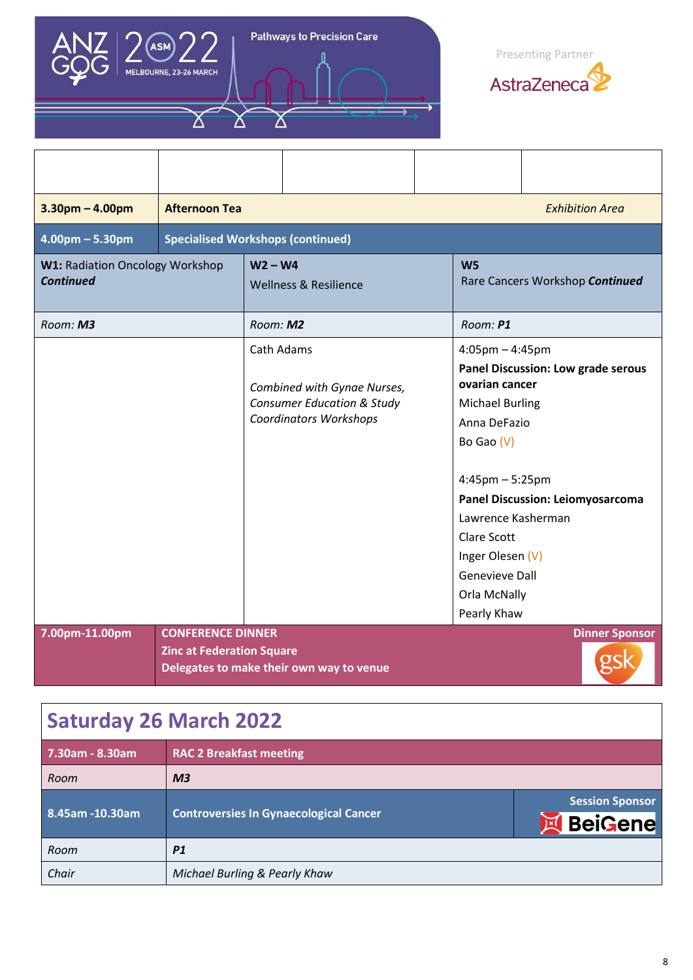

Δ

Pathways to Precision Care

Δ



| $3.30pm - 4.00pm$                                          | <b>Afternoon Tea</b>                                         |            |                                                                                                       |                                                                                                                                                                                                                                                | <b>Exhibition Area</b>                                                               |
|------------------------------------------------------------|--------------------------------------------------------------|------------|-------------------------------------------------------------------------------------------------------|------------------------------------------------------------------------------------------------------------------------------------------------------------------------------------------------------------------------------------------------|--------------------------------------------------------------------------------------|
| $4.00$ pm $- 5.30$ pm                                      | <b>Specialised Workshops (continued)</b>                     |            |                                                                                                       |                                                                                                                                                                                                                                                |                                                                                      |
| <b>W1: Radiation Oncology Workshop</b><br><b>Continued</b> |                                                              | $W2 - W4$  | <b>Wellness &amp; Resilience</b>                                                                      | W <sub>5</sub>                                                                                                                                                                                                                                 | Rare Cancers Workshop Continued                                                      |
| Room: M3                                                   |                                                              | Room: M2   |                                                                                                       | Room: P1                                                                                                                                                                                                                                       |                                                                                      |
|                                                            |                                                              | Cath Adams | Combined with Gynae Nurses,<br><b>Consumer Education &amp; Study</b><br><b>Coordinators Workshops</b> | $4:05$ pm $-4:45$ pm<br>ovarian cancer<br><b>Michael Burling</b><br>Anna DeFazio<br>Bo Gao (V)<br>$4:45$ pm $-5:25$ pm<br>Lawrence Kasherman<br><b>Clare Scott</b><br>Inger Olesen (V)<br><b>Genevieve Dall</b><br>Orla McNally<br>Pearly Khaw | <b>Panel Discussion: Low grade serous</b><br><b>Panel Discussion: Leiomyosarcoma</b> |
| 7.00pm-11.00pm                                             | <b>CONFERENCE DINNER</b><br><b>Zinc at Federation Square</b> |            | Delegates to make their own way to venue                                                              |                                                                                                                                                                                                                                                | <b>Dinner Sponsor</b>                                                                |

## **Saturday 26 March 2022**

| 7.30am - 8.30am | <b>RAC 2 Breakfast meeting</b>                |                                        |
|-----------------|-----------------------------------------------|----------------------------------------|
| Room            | M <sub>3</sub>                                |                                        |
| 8.45am -10.30am | <b>Controversies In Gynaecological Cancer</b> | <b>Session Sponsor</b><br>BeiGene<br>E |
| Room            | <b>P1</b>                                     |                                        |
| Chair           | Michael Burling & Pearly Khaw                 |                                        |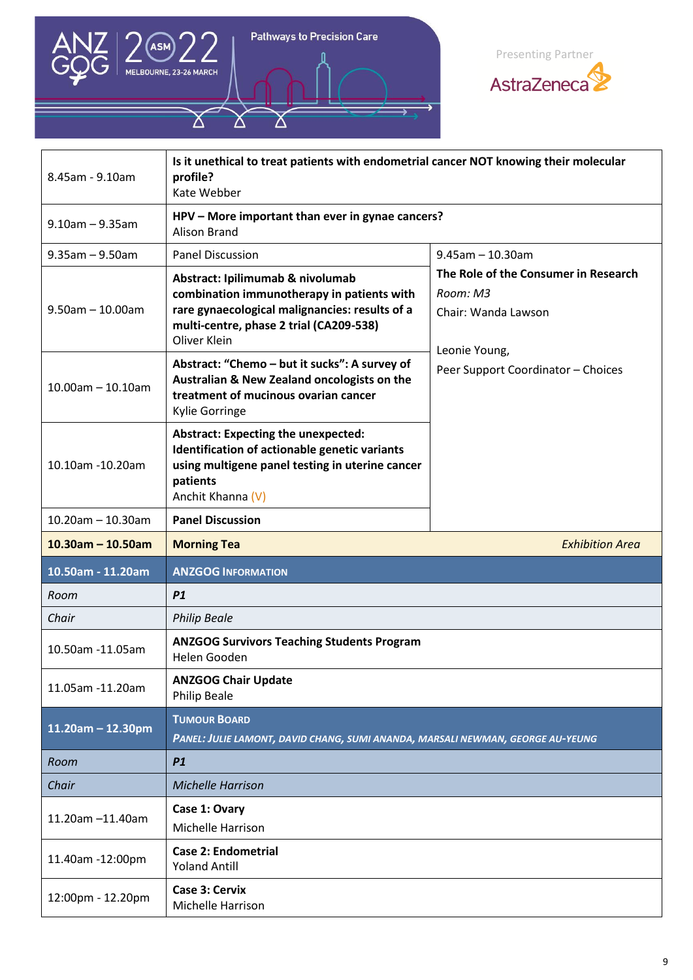

Δ

Pathways to Precision Care



| 8.45am - 9.10am       | Is it unethical to treat patients with endometrial cancer NOT knowing their molecular<br>profile?<br>Kate Webber                                                                            |                                                                                          |
|-----------------------|---------------------------------------------------------------------------------------------------------------------------------------------------------------------------------------------|------------------------------------------------------------------------------------------|
| $9.10$ am - $9.35$ am | HPV - More important than ever in gynae cancers?<br>Alison Brand                                                                                                                            |                                                                                          |
| $9.35$ am - $9.50$ am | <b>Panel Discussion</b>                                                                                                                                                                     | $9.45$ am - 10.30am                                                                      |
| $9.50$ am - 10.00am   | Abstract: Ipilimumab & nivolumab<br>combination immunotherapy in patients with<br>rare gynaecological malignancies: results of a<br>multi-centre, phase 2 trial (CA209-538)<br>Oliver Klein | The Role of the Consumer in Research<br>Room: M3<br>Chair: Wanda Lawson<br>Leonie Young, |
| $10.00$ am - 10.10am  | Abstract: "Chemo - but it sucks": A survey of<br>Australian & New Zealand oncologists on the<br>treatment of mucinous ovarian cancer<br>Kylie Gorringe                                      | Peer Support Coordinator - Choices                                                       |
| 10.10am -10.20am      | <b>Abstract: Expecting the unexpected:</b><br>Identification of actionable genetic variants<br>using multigene panel testing in uterine cancer<br>patients<br>Anchit Khanna (V)             |                                                                                          |
| $10.20$ am - 10.30am  | <b>Panel Discussion</b>                                                                                                                                                                     |                                                                                          |
|                       |                                                                                                                                                                                             |                                                                                          |
| $10.30$ am - 10.50am  | <b>Morning Tea</b>                                                                                                                                                                          | <b>Exhibition Area</b>                                                                   |
| 10.50am - 11.20am     | <b>ANZGOG INFORMATION</b>                                                                                                                                                                   |                                                                                          |
| Room                  | P1                                                                                                                                                                                          |                                                                                          |
| Chair                 | <b>Philip Beale</b>                                                                                                                                                                         |                                                                                          |
| 10.50am -11.05am      | <b>ANZGOG Survivors Teaching Students Program</b><br>Helen Gooden                                                                                                                           |                                                                                          |
| 11.05am -11.20am      | <b>ANZGOG Chair Update</b><br><b>Philip Beale</b>                                                                                                                                           |                                                                                          |
| $11.20$ am - 12.30pm  | <b>TUMOUR BOARD</b><br>PANEL: JULIE LAMONT, DAVID CHANG, SUMI ANANDA, MARSALI NEWMAN, GEORGE AU-YEUNG                                                                                       |                                                                                          |
| Room                  | P1                                                                                                                                                                                          |                                                                                          |
| Chair                 | <b>Michelle Harrison</b>                                                                                                                                                                    |                                                                                          |
| 11.20am -11.40am      | Case 1: Ovary<br><b>Michelle Harrison</b>                                                                                                                                                   |                                                                                          |
| 11.40am -12:00pm      | <b>Case 2: Endometrial</b><br><b>Yoland Antill</b>                                                                                                                                          |                                                                                          |